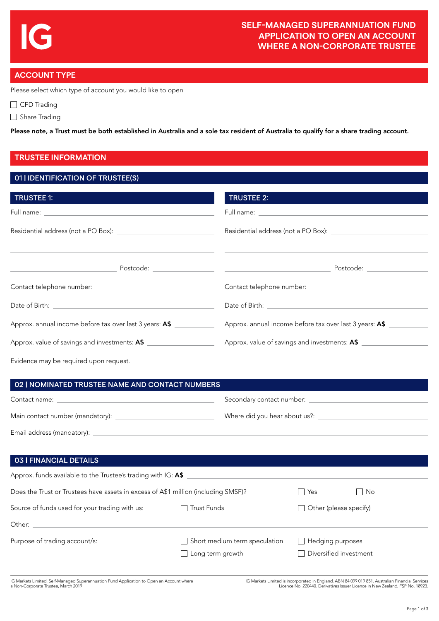# **ACCOUNT TYPE**

Please select which type of account you would like to open

CFD Trading

Share Trading

Please note, a Trust must be both established in Australia and a sole tax resident of Australia to qualify for a share trading account.

## **TRUSTEE INFORMATION**

### 01 | IDENTIFICATION OF TRUSTEE(S)

| TRUSTEE 1:                                              | <b>TRUSTEE 2:</b>                                                                                                                                                                                                                    |
|---------------------------------------------------------|--------------------------------------------------------------------------------------------------------------------------------------------------------------------------------------------------------------------------------------|
|                                                         | Full name: <u>the contract of the contract of the contract of the contract of the contract of the contract of the contract of the contract of the contract of the contract of the contract of the contract of the contract of th</u> |
|                                                         | Residential address (not a PO Box): [19] Residential address (not a PO Box):                                                                                                                                                         |
|                                                         | Postcode: New York Postcode:                                                                                                                                                                                                         |
|                                                         |                                                                                                                                                                                                                                      |
|                                                         | Date of Birth: <u>Electricity and the set of Birth:</u>                                                                                                                                                                              |
| Approx. annual income before tax over last 3 years: A\$ | Approx. annual income before tax over last 3 years: A\$                                                                                                                                                                              |
| Approx. value of savings and investments: A\$           | Approx. value of savings and investments: A\$                                                                                                                                                                                        |
| Evidence may be required upon request.                  |                                                                                                                                                                                                                                      |

### 02 | NOMINATED TRUSTEE NAME AND CONTACT NUMBERS Contact name: Main contact number (mandatory): \_ Secondary contact number: Where did you hear about us?: \_ Email address (mandatory):

### 03 | FINANCIAL DETAILS

| Approx. funds available to the Trustee's trading with IG: A\$                      |                                                          |                                                   |      |
|------------------------------------------------------------------------------------|----------------------------------------------------------|---------------------------------------------------|------|
| Does the Trust or Trustees have assets in excess of A\$1 million (including SMSF)? |                                                          | <b>Yes</b>                                        | l No |
| Source of funds used for your trading with us:                                     | Trust Funds                                              | $\Box$ Other (please specify)                     |      |
| Other:                                                                             |                                                          |                                                   |      |
| Purpose of trading account/s:                                                      | Short medium term speculation<br>$\Box$ Long term growth | $\Box$ Hedging purposes<br>Diversified investment |      |

IG Markets Limited, Self-Managed Superannuation Fund Application to Open an Account where a Non-Corporate Trustee, March 2019

IG Markets Limited is incorporated in England. ABN 84 099 019 851. Australian Financial Services Licence No. 220440. Derivatives Issuer Licence in New Zealand, FSP No. 18923.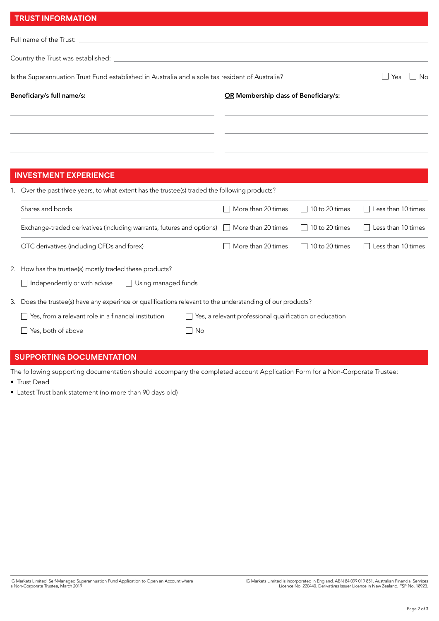| <b>TRUST INFORMATION</b>                                                                                                                                                                                                             |                                       |                       |                           |  |
|--------------------------------------------------------------------------------------------------------------------------------------------------------------------------------------------------------------------------------------|---------------------------------------|-----------------------|---------------------------|--|
| Full name of the Trust:                                                                                                                                                                                                              |                                       |                       |                           |  |
| Country the Trust was established:                                                                                                                                                                                                   |                                       |                       |                           |  |
| Is the Superannuation Trust Fund established in Australia and a sole tax resident of Australia?                                                                                                                                      |                                       |                       | $\vert$ $\vert$ No<br>Yes |  |
| Beneficiary/s full name/s:                                                                                                                                                                                                           | OR Membership class of Beneficiary/s: |                       |                           |  |
|                                                                                                                                                                                                                                      |                                       |                       |                           |  |
| <b>INVESTMENT EXPERIENCE</b>                                                                                                                                                                                                         |                                       |                       |                           |  |
| 1. Over the past three years, to what extent has the trustee(s) traded the following products?                                                                                                                                       |                                       |                       |                           |  |
| Shares and bonds                                                                                                                                                                                                                     | More than 20 times                    | 10 to 20 times        | Less than 10 times        |  |
| Exchange-traded derivatives (including warrants, futures and options)                                                                                                                                                                | More than 20 times                    | $\Box$ 10 to 20 times | Less than 10 times        |  |
| OTC derivatives (including CFDs and forex)                                                                                                                                                                                           | $\Box$ More than 20 times             | $\Box$ 10 to 20 times | Less than 10 times        |  |
| 2. How has the trustee(s) mostly traded these products?<br>Independently or with advise<br>$\Box$ Using managed funds                                                                                                                |                                       |                       |                           |  |
| 3. Does the trustee(s) have any experince or qualifications relevant to the understanding of our products?<br>$\Box$ Yes, from a relevant role in a financial institution<br>Yes, a relevant professional qualification or education |                                       |                       |                           |  |
| Yes, both of above<br>No                                                                                                                                                                                                             |                                       |                       |                           |  |

## **SUPPORTING DOCUMENTATION**

The following supporting documentation should accompany the completed account Application Form for a Non-Corporate Trustee: • Trust Deed

• Latest Trust bank statement (no more than 90 days old)